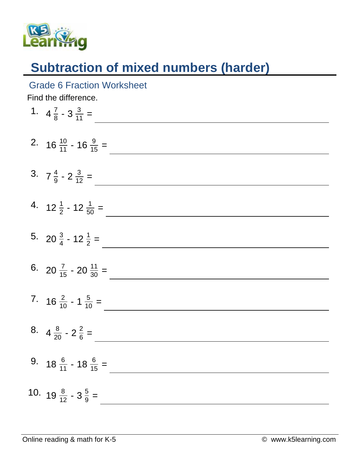

## **Subtraction of mixed numbers (harder)**

## Grade 6 Fraction Worksheet

Find the difference.

| 1. $4\frac{7}{8} - 3\frac{3}{11} =$         |
|---------------------------------------------|
| 2. $16\frac{10}{11}$ - $16\frac{9}{15}$ =   |
| 3. $7\frac{4}{9} - 2\frac{3}{12} =$         |
| 4. $12\frac{1}{2}$ - $12\frac{1}{50}$ =     |
| 5. 20 $\frac{3}{4}$ - 12 $\frac{1}{2}$ =    |
| 6. 20 $\frac{7}{15}$ - 20 $\frac{11}{30}$ = |
| 7. $16\frac{2}{10} - 1\frac{5}{10} =$       |
| 8. $4\frac{8}{20} - 2\frac{2}{6} =$         |
| 9. $18\frac{6}{11}$ - $18\frac{6}{15}$ =    |
| 10. $19\frac{8}{12} - 3\frac{5}{9} =$       |